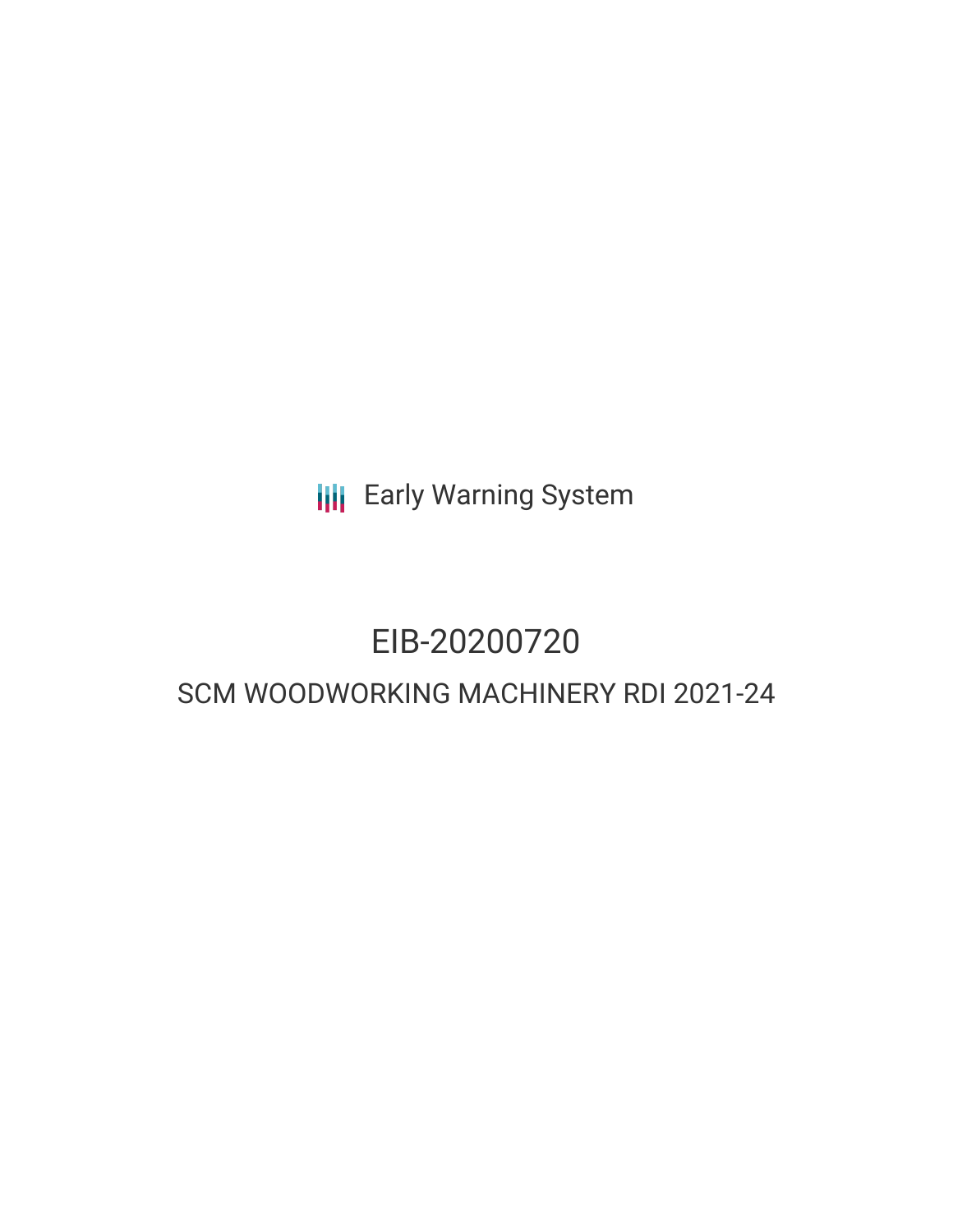**III** Early Warning System

# EIB-20200720

# SCM WOODWORKING MACHINERY RDI 2021-24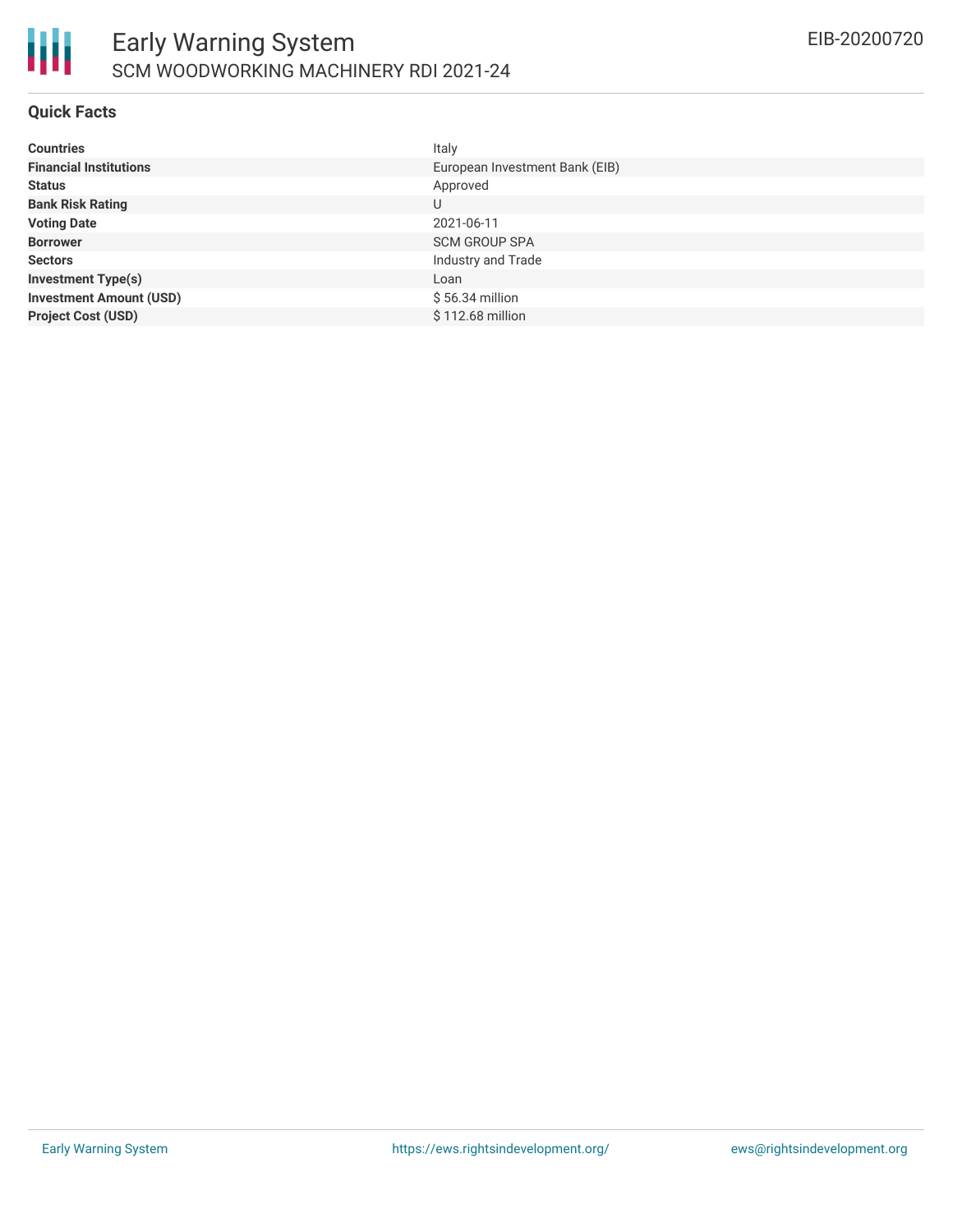

## **Quick Facts**

| <b>Countries</b>               | Italy                          |
|--------------------------------|--------------------------------|
| <b>Financial Institutions</b>  | European Investment Bank (EIB) |
| <b>Status</b>                  | Approved                       |
| <b>Bank Risk Rating</b>        | U                              |
| <b>Voting Date</b>             | 2021-06-11                     |
| <b>Borrower</b>                | <b>SCM GROUP SPA</b>           |
| <b>Sectors</b>                 | Industry and Trade             |
| <b>Investment Type(s)</b>      | Loan                           |
| <b>Investment Amount (USD)</b> | $$56.34$ million               |
| <b>Project Cost (USD)</b>      | \$112.68 million               |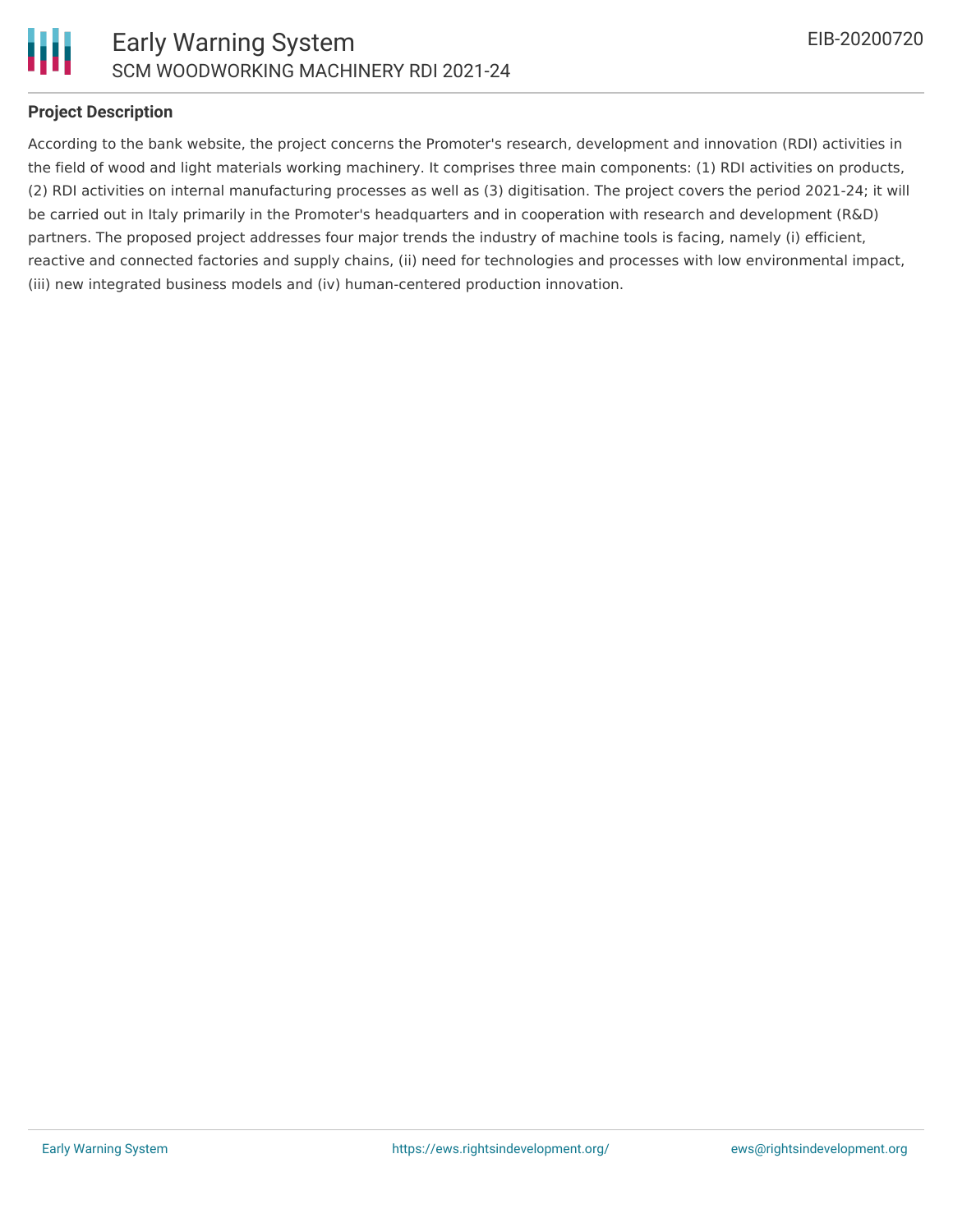

# **Project Description**

According to the bank website, the project concerns the Promoter's research, development and innovation (RDI) activities in the field of wood and light materials working machinery. It comprises three main components: (1) RDI activities on products, (2) RDI activities on internal manufacturing processes as well as (3) digitisation. The project covers the period 2021-24; it will be carried out in Italy primarily in the Promoter's headquarters and in cooperation with research and development (R&D) partners. The proposed project addresses four major trends the industry of machine tools is facing, namely (i) efficient, reactive and connected factories and supply chains, (ii) need for technologies and processes with low environmental impact, (iii) new integrated business models and (iv) human-centered production innovation.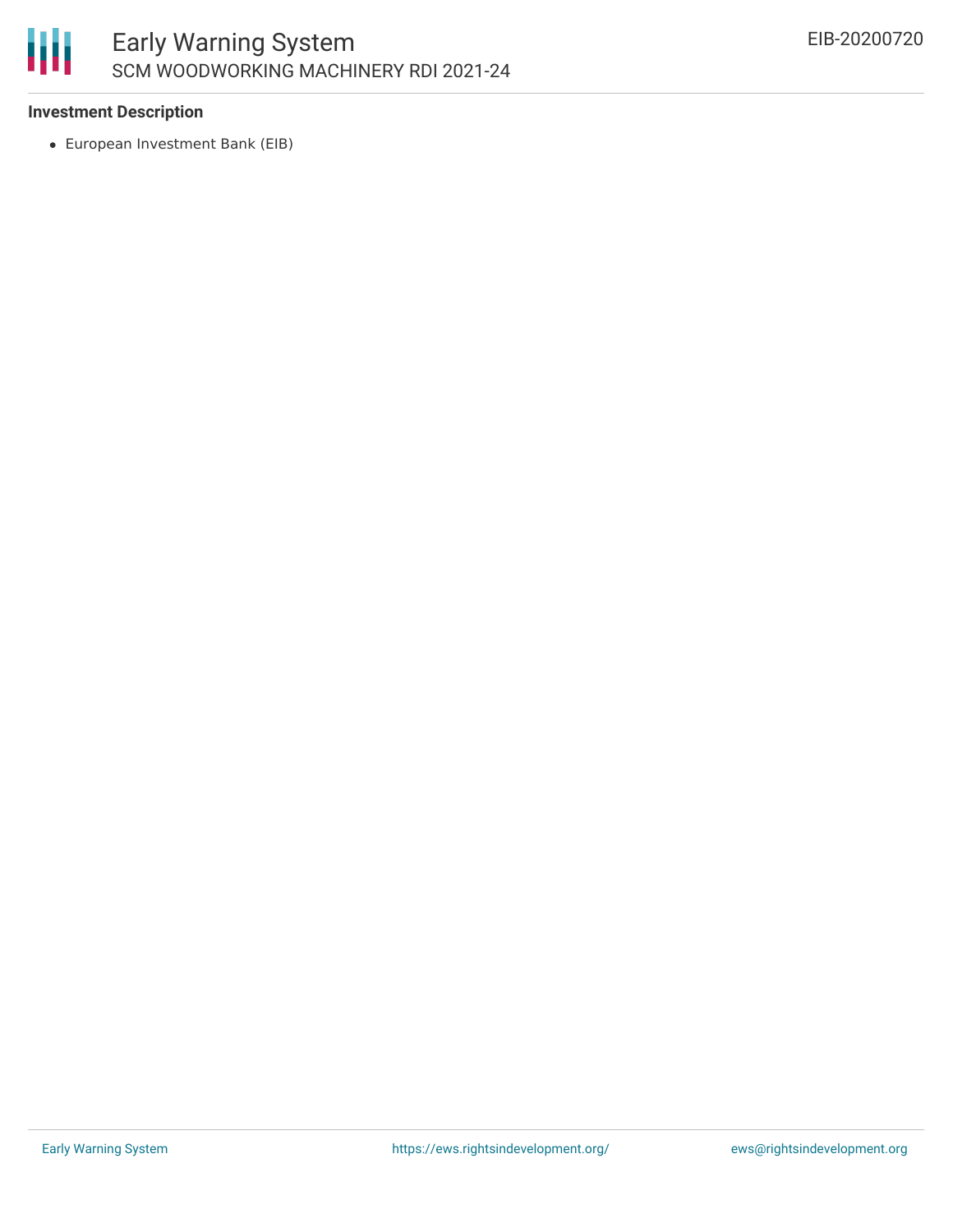

# **Investment Description**

European Investment Bank (EIB)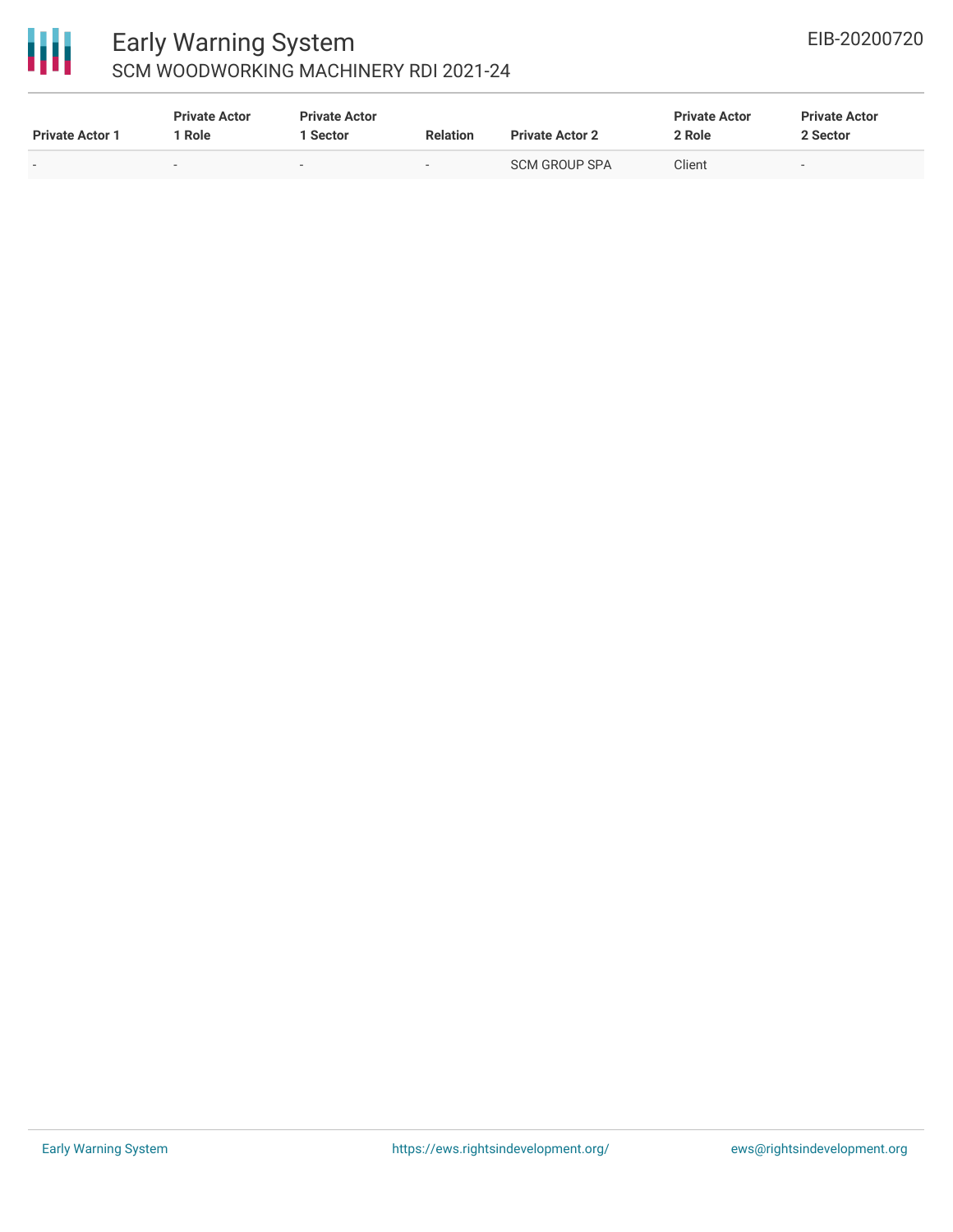

# 冊

# Early Warning System SCM WOODWORKING MACHINERY RDI 2021-24

| <b>Private Actor 1</b> | <b>Private Actor</b><br>l Role. | <b>Private Actor</b><br>1 Sector | <b>Relation</b> | <b>Private Actor 2</b> | <b>Private Actor</b><br>2 Role | <b>Private Actor</b><br>2 Sector |
|------------------------|---------------------------------|----------------------------------|-----------------|------------------------|--------------------------------|----------------------------------|
| $\sim$                 | $\sim$                          | $\sim$                           | $\sim$          | SCM GROUP SPA          | Client                         | $\sim$                           |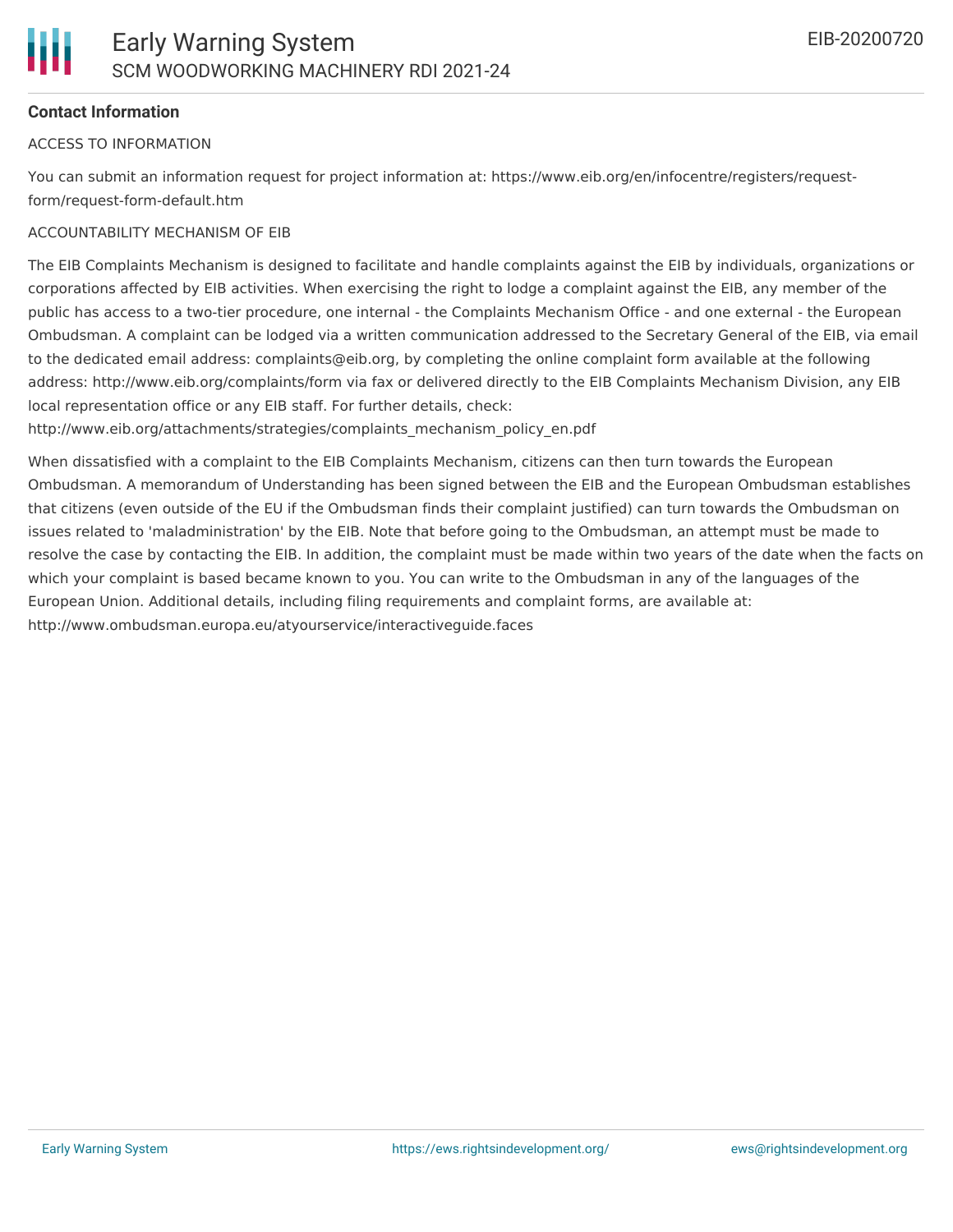# **Contact Information**

#### ACCESS TO INFORMATION

You can submit an information request for project information at: https://www.eib.org/en/infocentre/registers/requestform/request-form-default.htm

### ACCOUNTABILITY MECHANISM OF EIB

The EIB Complaints Mechanism is designed to facilitate and handle complaints against the EIB by individuals, organizations or corporations affected by EIB activities. When exercising the right to lodge a complaint against the EIB, any member of the public has access to a two-tier procedure, one internal - the Complaints Mechanism Office - and one external - the European Ombudsman. A complaint can be lodged via a written communication addressed to the Secretary General of the EIB, via email to the dedicated email address: complaints@eib.org, by completing the online complaint form available at the following address: http://www.eib.org/complaints/form via fax or delivered directly to the EIB Complaints Mechanism Division, any EIB local representation office or any EIB staff. For further details, check:

http://www.eib.org/attachments/strategies/complaints\_mechanism\_policy\_en.pdf

When dissatisfied with a complaint to the EIB Complaints Mechanism, citizens can then turn towards the European Ombudsman. A memorandum of Understanding has been signed between the EIB and the European Ombudsman establishes that citizens (even outside of the EU if the Ombudsman finds their complaint justified) can turn towards the Ombudsman on issues related to 'maladministration' by the EIB. Note that before going to the Ombudsman, an attempt must be made to resolve the case by contacting the EIB. In addition, the complaint must be made within two years of the date when the facts on which your complaint is based became known to you. You can write to the Ombudsman in any of the languages of the European Union. Additional details, including filing requirements and complaint forms, are available at: http://www.ombudsman.europa.eu/atyourservice/interactiveguide.faces